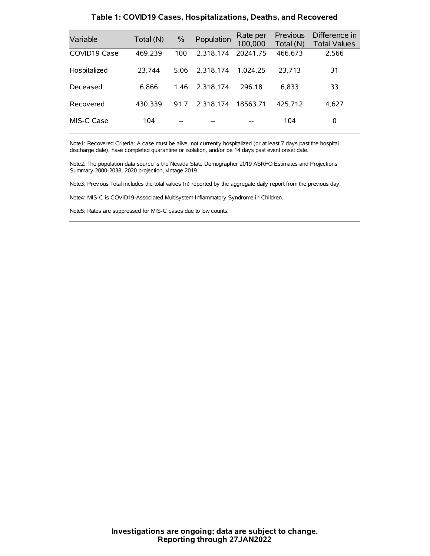| Variable     | Total (N) | $\frac{0}{0}$ | Population | Rate per<br>100,000 | Previous<br>Total (N) | Difference in<br><b>Total Values</b> |
|--------------|-----------|---------------|------------|---------------------|-----------------------|--------------------------------------|
| COVID19 Case | 469,239   | 100           | 2.318.174  | 20241.75            | 466,673               | 2,566                                |
| Hospitalized | 23.744    | 5.06          | 2.318.174  | 1.024.25            | 23.713                | 31                                   |
| Deceased     | 6.866     | 1.46          | 2.318.174  | 296.18              | 6.833                 | 33                                   |
| Recovered    | 430.339   | 91.7          | 2.318.174  | 18563.71            | 425.712               | 4,627                                |
| MIS-C Case   | 104       | --            |            |                     | 104                   | 0                                    |

#### **Table 1: COVID19 Cases, Hospitalizations, Deaths, and Recovered**

Note1: Recovered Criteria: A case must be alive, not currently hospitalized (or at least 7 days past the hospital discharge date), have completed quarantine or isolation, and/or be 14 days past event onset date.

Note2: The population data source is the Nevada State Demographer 2019 ASRHO Estimates and Projections Summary 2000-2038, 2020 projection, vintage 2019.

Note3: Previous Total includes the total values (n) reported by the aggregate daily report from the previous day.

Note4: MIS-C is COVID19-Associated Multisystem Inflammatory Syndrome in Children.

Note5: Rates are suppressed for MIS-C cases due to low counts.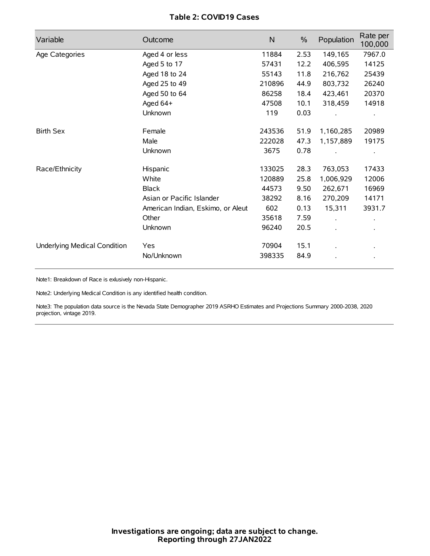# **Table 2: COVID19 Cases**

| Variable                     | Outcome                           | $\mathsf{N}$ | $\%$ | Population           | Rate per<br>100,000 |
|------------------------------|-----------------------------------|--------------|------|----------------------|---------------------|
| Age Categories               | Aged 4 or less                    | 11884        | 2.53 | 149,165              | 7967.0              |
|                              | Aged 5 to 17                      | 57431        | 12.2 | 406,595              | 14125               |
|                              | Aged 18 to 24                     | 55143        | 11.8 | 216,762              | 25439               |
|                              | Aged 25 to 49                     | 210896       | 44.9 | 803,732              | 26240               |
|                              | Aged 50 to 64                     | 86258        | 18.4 | 423,461              | 20370               |
|                              | Aged 64+                          | 47508        | 10.1 | 318,459              | 14918               |
|                              | Unknown                           | 119          | 0.03 |                      |                     |
| <b>Birth Sex</b>             | Female                            | 243536       | 51.9 | 1,160,285            | 20989               |
|                              | Male                              | 222028       | 47.3 | 1,157,889            | 19175               |
|                              | Unknown                           | 3675         | 0.78 |                      |                     |
| Race/Ethnicity               | Hispanic                          | 133025       | 28.3 | 763,053              | 17433               |
|                              | White                             | 120889       | 25.8 | 1,006,929            | 12006               |
|                              | <b>Black</b>                      | 44573        | 9.50 | 262,671              | 16969               |
|                              | Asian or Pacific Islander         | 38292        | 8.16 | 270,209              | 14171               |
|                              | American Indian, Eskimo, or Aleut | 602          | 0.13 | 15,311               | 3931.7              |
|                              | Other                             | 35618        | 7.59 | $\ddot{\phantom{a}}$ |                     |
|                              | Unknown                           | 96240        | 20.5 | ÷.                   |                     |
| Underlying Medical Condition | Yes                               | 70904        | 15.1 |                      |                     |
|                              | No/Unknown                        | 398335       | 84.9 |                      |                     |

Note1: Breakdown of Race is exlusively non-Hispanic.

Note2: Underlying Medical Condition is any identified health condition.

Note3: The population data source is the Nevada State Demographer 2019 ASRHO Estimates and Projections Summary 2000-2038, 2020 projection, vintage 2019.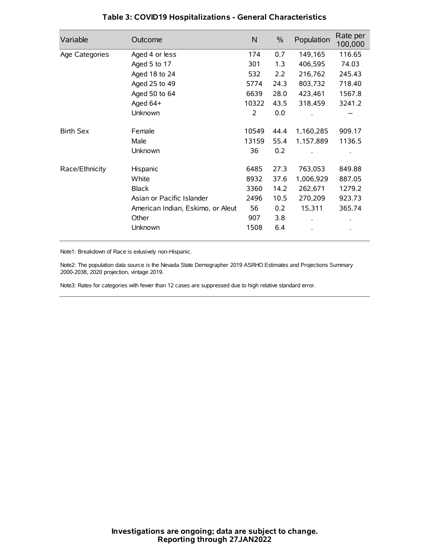| Variable         | Outcome                           | $\mathsf{N}$ | $\%$ | Population | Rate per<br>100,000 |
|------------------|-----------------------------------|--------------|------|------------|---------------------|
| Age Categories   | Aged 4 or less                    | 174          | 0.7  | 149,165    | 116.65              |
|                  | Aged 5 to 17                      | 301          | 1.3  | 406,595    | 74.03               |
|                  | Aged 18 to 24                     | 532          | 2.2  | 216,762    | 245.43              |
|                  | Aged 25 to 49                     | 5774         | 24.3 | 803,732    | 718.40              |
|                  | Aged 50 to 64                     | 6639         | 28.0 | 423,461    | 1567.8              |
|                  | Aged 64+                          | 10322        | 43.5 | 318,459    | 3241.2              |
|                  | Unknown                           | 2            | 0.0  |            |                     |
| <b>Birth Sex</b> | Female                            | 10549        | 44.4 | 1,160,285  | 909.17              |
|                  | Male                              | 13159        | 55.4 | 1,157,889  | 1136.5              |
|                  | Unknown                           | 36           | 0.2  |            |                     |
| Race/Ethnicity   | Hispanic                          | 6485         | 27.3 | 763,053    | 849.88              |
|                  | White                             | 8932         | 37.6 | 1,006,929  | 887.05              |
|                  | <b>Black</b>                      | 3360         | 14.2 | 262,671    | 1279.2              |
|                  | Asian or Pacific Islander         | 2496         | 10.5 | 270,209    | 923.73              |
|                  | American Indian, Eskimo, or Aleut | 56           | 0.2  | 15,311     | 365.74              |
|                  | Other                             | 907          | 3.8  |            |                     |
|                  | Unknown                           | 1508         | 6.4  |            |                     |

## **Table 3: COVID19 Hospitalizations - General Characteristics**

Note1: Breakdown of Race is exlusively non-Hispanic.

Note2: The population data source is the Nevada State Demographer 2019 ASRHO Estimates and Projections Summary 2000-2038, 2020 projection, vintage 2019.

Note3: Rates for categories with fewer than 12 cases are suppressed due to high relative standard error.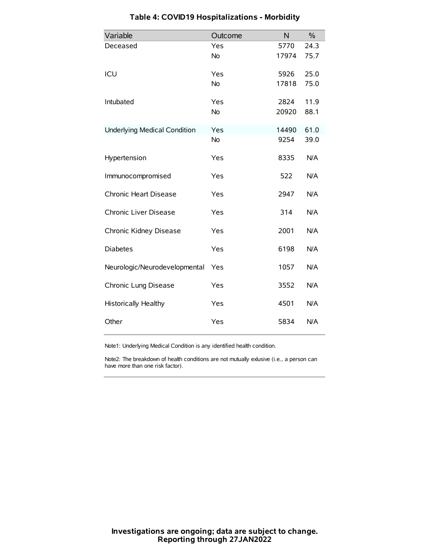| Variable                            | Outcome   | N     | $\%$ |
|-------------------------------------|-----------|-------|------|
| Deceased                            | Yes       | 5770  | 24.3 |
|                                     | <b>No</b> | 17974 | 75.7 |
| ICU                                 | Yes       | 5926  | 25.0 |
|                                     | <b>No</b> | 17818 | 75.0 |
| Intubated                           | Yes       | 2824  | 11.9 |
|                                     | <b>No</b> | 20920 | 88.1 |
| <b>Underlying Medical Condition</b> | Yes       | 14490 | 61.0 |
|                                     | No        | 9254  | 39.0 |
| Hypertension                        | Yes       | 8335  | N/A  |
| Immunocompromised                   | Yes       | 522   | N/A  |
| Chronic Heart Disease               | Yes       | 2947  | N/A  |
| Chronic Liver Disease               | Yes       | 314   | N/A  |
| Chronic Kidney Disease              | Yes       | 2001  | N/A  |
| <b>Diabetes</b>                     | Yes       | 6198  | N/A  |
| Neurologic/Neurodevelopmental       | Yes       | 1057  | N/A  |
| Chronic Lung Disease                | Yes       | 3552  | N/A  |
| Historically Healthy                | Yes       | 4501  | N/A  |
| Other                               | Yes       | 5834  | N/A  |

# **Table 4: COVID19 Hospitalizations - Morbidity**

Note1: Underlying Medical Condition is any identified health condition.

Note2: The breakdown of health conditions are not mutually exlusive (i.e., a person can have more than one risk factor).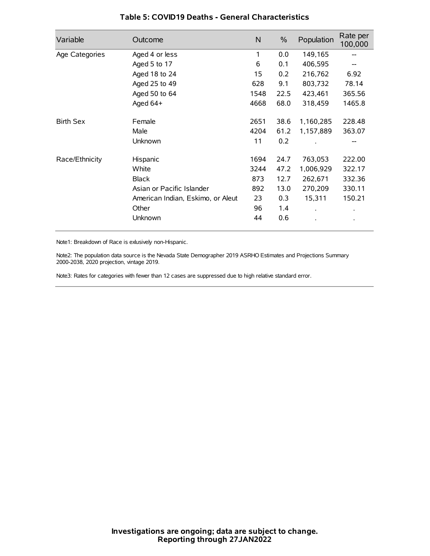| Variable         | Outcome                           | $\mathsf{N}$ | $\%$ | Population           | Rate per<br>100,000 |
|------------------|-----------------------------------|--------------|------|----------------------|---------------------|
| Age Categories   | Aged 4 or less                    | 1            | 0.0  | 149,165              |                     |
|                  | Aged 5 to 17                      | 6            | 0.1  | 406,595              |                     |
|                  | Aged 18 to 24                     | 15           | 0.2  | 216,762              | 6.92                |
|                  | Aged 25 to 49                     | 628          | 9.1  | 803,732              | 78.14               |
|                  | Aged 50 to 64                     | 1548         | 22.5 | 423,461              | 365.56              |
|                  | Aged 64+                          | 4668         | 68.0 | 318,459              | 1465.8              |
| <b>Birth Sex</b> | Female                            | 2651         | 38.6 | 1,160,285            | 228.48              |
|                  | Male                              | 4204         | 61.2 | 1,157,889            | 363.07              |
|                  | Unknown                           | 11           | 0.2  |                      | --                  |
| Race/Ethnicity   | Hispanic                          | 1694         | 24.7 | 763,053              | 222.00              |
|                  | White                             | 3244         | 47.2 | 1,006,929            | 322.17              |
|                  | <b>Black</b>                      | 873          | 12.7 | 262,671              | 332.36              |
|                  | Asian or Pacific Islander         | 892          | 13.0 | 270,209              | 330.11              |
|                  | American Indian, Eskimo, or Aleut | 23           | 0.3  | 15,311               | 150.21              |
|                  | Other                             | 96           | 1.4  | $\ddot{\phantom{0}}$ | $\bullet$           |
|                  | Unknown                           | 44           | 0.6  |                      | $\bullet$           |

### **Table 5: COVID19 Deaths - General Characteristics**

Note1: Breakdown of Race is exlusively non-Hispanic.

Note2: The population data source is the Nevada State Demographer 2019 ASRHO Estimates and Projections Summary 2000-2038, 2020 projection, vintage 2019.

Note3: Rates for categories with fewer than 12 cases are suppressed due to high relative standard error.